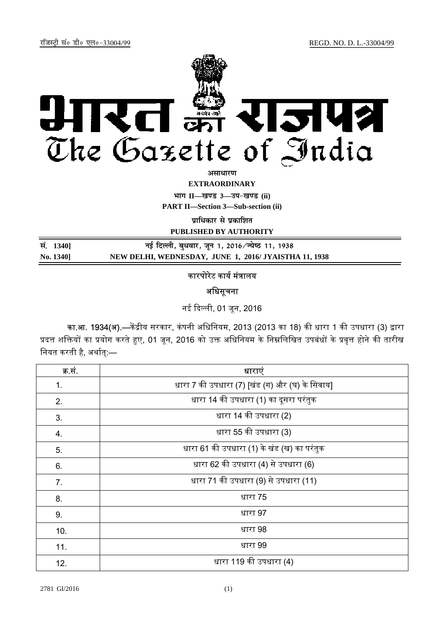

अ**साधार**ण

**EXTRAORDINARY**

**Hkkx II—[k.M 3—mi&[k.M (ii)**

**PART II—Section 3—Sub-section (ii)** 

**<u>uाधिकार से प्रकाशित</u>** 

**PUBLISHED BY AUTHORITY**

| सं. 1340] | नई दिल्ली, बुधवार, जून 1, 2016 ⁄ ज्येष्ठ 11, 1938     |
|-----------|-------------------------------------------------------|
| No. 1340] | NEW DELHI, WEDNESDAY, JUNE 1, 2016/ JYAISTHA 11, 1938 |

## कारपोरेट कार्य मंत्रालय

## अधिसूचना

नई ᳰद᭨ली, 01 जून, 2016

<mark>का.आ. 1934(अ).—</mark>केंद्रीय सरकार, कंपनी अधिनियम, 2013 (2013 का 18) की धारा 1 की उपधारा (3) द्वारा प्रदत्त शक्तियों का प्रयोग करते हुए, 01 जून, 2016 को उक्त अधिनियम के निम्नलिखित उपबंधों के प्रवृत्त होने की तारीख नियत करती है, अर्थात्:—

| क्र.सं. | धाराएं                                         |  |
|---------|------------------------------------------------|--|
| 1.      | धारा 7 की उपधारा (7) [खंड (ग) और (घ) के सिवाय] |  |
| 2.      | धारा 14 की उपधारा (1) का दूसरा परंतुक          |  |
| 3.      | धारा 14 की उपधारा (2)                          |  |
| 4.      | धारा 55 की उपधारा (3)                          |  |
| 5.      | धारा 61 की उपधारा (1) के खंड (ख) का परंतुक     |  |
| 6.      | धारा 62 की उपधारा (4) से उपधारा (6)            |  |
| 7.      | धारा 71 की उपधारा (9) से उपधारा (11)           |  |
| 8.      | धारा 75                                        |  |
| 9.      | धारा 97                                        |  |
| 10.     | धारा 98                                        |  |
| 11.     | धारा 99                                        |  |
| 12.     | धारा 119 की उपधारा (4)                         |  |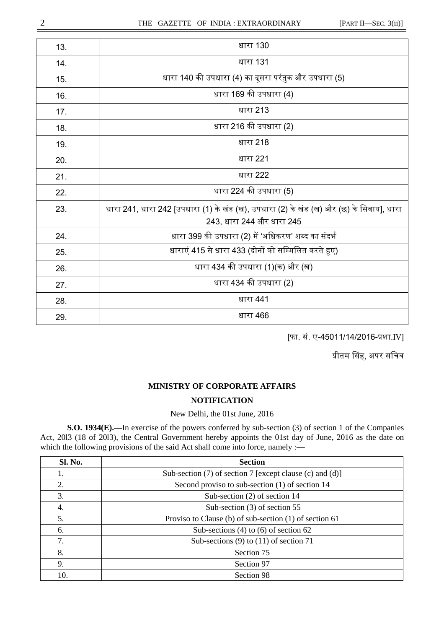| 13. | धारा 130                                                                                                             |  |
|-----|----------------------------------------------------------------------------------------------------------------------|--|
| 14. | धारा 131                                                                                                             |  |
| 15. | धारा 140 की उपधारा (4) का दूसरा परंतुक और उपधारा (5)                                                                 |  |
| 16. | धारा 169 की उपधारा (4)                                                                                               |  |
| 17. | धारा 213                                                                                                             |  |
| 18. | धारा 216 की उपधारा (2)                                                                                               |  |
| 19. | धारा 218                                                                                                             |  |
| 20. | धारा 221                                                                                                             |  |
| 21. | धारा 222                                                                                                             |  |
| 22. | धारा 224 की उपधारा (5)                                                                                               |  |
| 23. | धारा 241, धारा 242 [उपधारा (1) के खंड (ख), उपधारा (2) के खंड (ख) और (छ) के सिवाय], धारा<br>243, धारा 244 और धारा 245 |  |
|     |                                                                                                                      |  |
| 24. | धारा 399 की उपधारा (2) में 'अधिकरण' शब्द का संदर्भ                                                                   |  |
| 25. | धाराएं 415 से धारा 433 (दोनों को सम्मिलित करते हुए)                                                                  |  |
| 26. | धारा 434 की उपधारा (1)(क) और (ख)                                                                                     |  |
| 27. | धारा 434 की उपधारा (2)                                                                                               |  |
| 28. | धारा 441                                                                                                             |  |
| 29. | धारा 466                                                                                                             |  |

[फा. सं. ए-45011/14/2016-प्रशा.IV]

प्रीतम सिंह, अपर सचिव

#### **MINISTRY OF CORPORATE AFFAIRS**

#### **NOTIFICATION**

### New Delhi, the 01st June, 2016

**S.O. 1934(E).—**In exercise of the powers conferred by sub-section (3) of section 1 of the Companies Act, 20l3 (18 of 20l3), the Central Government hereby appoints the 01st day of June, 2016 as the date on which the following provisions of the said Act shall come into force, namely :-

| Sl. No. | <b>Section</b>                                           |  |
|---------|----------------------------------------------------------|--|
|         | Sub-section (7) of section 7 [except clause (c) and (d)] |  |
| 2.      | Second proviso to sub-section (1) of section 14          |  |
| 3.      | Sub-section $(2)$ of section 14                          |  |
| 4.      | Sub-section $(3)$ of section 55                          |  |
| 5.      | Proviso to Clause (b) of sub-section $(1)$ of section 61 |  |
| 6.      | Sub-sections $(4)$ to $(6)$ of section 62                |  |
| 7.      | Sub-sections $(9)$ to $(11)$ of section 71               |  |
| 8.      | Section 75                                               |  |
| 9.      | Section 97                                               |  |
| 10.     | Section 98                                               |  |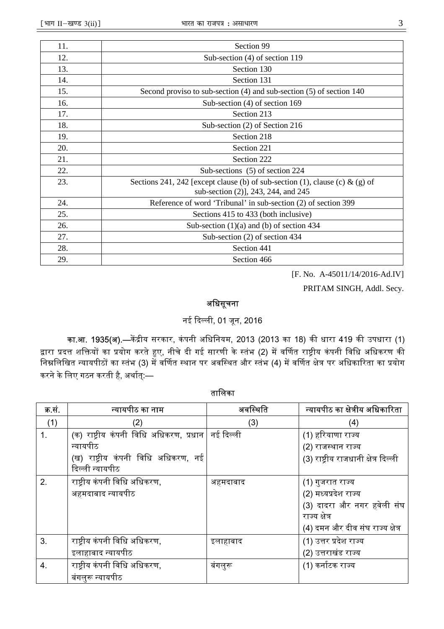| 11. | Section 99                                                                   |  |  |
|-----|------------------------------------------------------------------------------|--|--|
| 12. | Sub-section $(4)$ of section 119                                             |  |  |
| 13. | Section 130                                                                  |  |  |
| 14. | Section 131                                                                  |  |  |
| 15. | Second proviso to sub-section $(4)$ and sub-section $(5)$ of section 140     |  |  |
| 16. | Sub-section $(4)$ of section 169                                             |  |  |
| 17. | Section 213                                                                  |  |  |
| 18. | Sub-section (2) of Section 216                                               |  |  |
| 19. | Section 218                                                                  |  |  |
| 20. | Section 221                                                                  |  |  |
| 21. | Section 222                                                                  |  |  |
| 22. | Sub-sections (5) of section 224                                              |  |  |
| 23. | Sections 241, 242 [except clause (b) of sub-section (1), clause (c) & (g) of |  |  |
| 24. | sub-section (2)], 243, 244, and 245                                          |  |  |
|     | Reference of word 'Tribunal' in sub-section (2) of section 399               |  |  |
| 25. | Sections 415 to 433 (both inclusive)                                         |  |  |
| 26. | Sub-section $(1)(a)$ and $(b)$ of section 434                                |  |  |
| 27. | Sub-section $(2)$ of section 434                                             |  |  |
| 28. | Section 441                                                                  |  |  |
| 29. | Section 466                                                                  |  |  |

[F. No. A-45011/14/2016-Ad.IV]

PRITAM SINGH, Addl. Secy.

# अधिसूचना

# नई दिल्ली, 01 जून, 2016

का.<mark>आ. 1935(अ).—</mark>केंद्रीय सरकार, कंपनी अधिनियम, 2013 (2013 का 18) की धारा 419 की उपधारा (1) द्वारा प्रदत्त शक्तियों का प्रयोग करते हुए, नीचे दी गई सारणी के स्तंभ (2) में वर्णित राष्ट्रीय कंपनी विधि अधिकरण की <u>निम्नलिखित न्यायपीठों का स्तंभ (3) में वर्णित स्थान पर अवस्थित और स्तंभ (4) में वर्णित क्षेत्र पर अधिकारिता का प्रयोग</u> करने के लिए गठन करती है, अर्थात्:—

| क्र.सं. | न्यायपीठ का नाम                                                                                               | अवस्थिति  | न्यायपीठ का क्षेत्रीय अधिकारिता                                                                                             |
|---------|---------------------------------------------------------------------------------------------------------------|-----------|-----------------------------------------------------------------------------------------------------------------------------|
| (1)     | (2)                                                                                                           | (3)       | (4)                                                                                                                         |
| 1.      | (क) राष्ट्रीय कंपनी विधि अधिकरण, प्रधान<br>न्यायपीठ<br>(ख) राष्ट्रीय कंपनी विधि अधिकरण, नई<br>दिल्ली न्यायपीठ | नई दिल्ली | (1) हरियाणा राज्य<br>(2) राजस्थान राज्य<br>(3) राष्ट्रीय राजधानी क्षेत्र दिल्ली                                             |
| 2.      | राष्ट्रीय कंपनी विधि अधिकरण,<br>अहमदाबाद न्यायपीठ                                                             | अहमदाबाद  | (1) गुजरात राज्य<br>(2) मध्यप्रदेश राज्य<br>(3) दादरा और नगर हवेली संघ<br>राज्य क्षेत्र<br>(4) दमन और दीव संघ राज्य क्षेत्र |
| 3.      | राष्ट्रीय कंपनी विधि अधिकरण,<br>इलाहाबाद न्यायपीठ                                                             | इलाहाबाद  | (1) उत्तर प्रदेश राज्य<br>(2) उत्तराखंड राज्य                                                                               |
| 4.      | राष्ट्रीय कंपनी विधि अधिकरण,<br>बंगलुरू न्यायपीठ                                                              | बंगलुरू   | (1) कर्नाटक राज्य                                                                                                           |

तािलका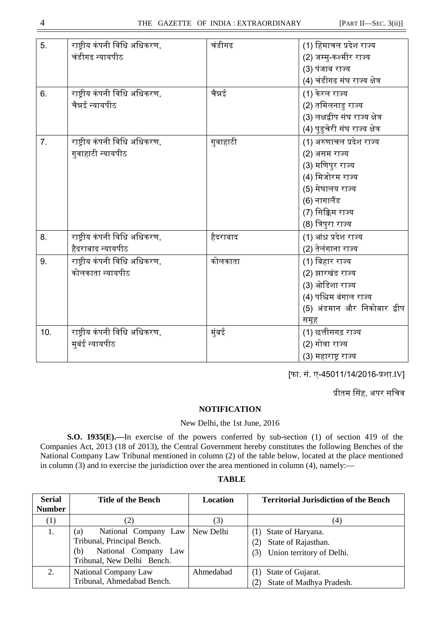| 5.               | राष्ट्रीय कंपनी विधि अधिकरण, | चंडीगढ   | (1) हिमाचल प्रदेश राज्य         |
|------------------|------------------------------|----------|---------------------------------|
|                  | चंडीगढ न्यायपीठ              |          | (2) जम्मु-कश्मीर राज्य          |
|                  |                              |          | (3) पंजाब राज्य                 |
|                  |                              |          | (4) चंडीगढ संघ राज्य क्षेत्र    |
| 6.               | राष्ट्रीय कंपनी विधि अधिकरण, | चैन्नई   | (1) केरल राज्य                  |
|                  | चैन्नई न्यायपीठ              |          | (2) तमिलनाडु राज्य              |
|                  |                              |          | (3) लक्षद्वीप संघ राज्य क्षेत्र |
|                  |                              |          | (4) पुडुचेरी संघ राज्य क्षेत्र  |
| $\overline{7}$ . | राष्ट्रीय कंपनी विधि अधिकरण, | गुवाहाटी | (1) अरुणाचल प्रदेश राज्य        |
|                  | गुवाहाटी न्यायपीठ            |          | (2) असम राज्य                   |
|                  |                              |          | (3) मणिपुर राज्य                |
|                  |                              |          | (4) मिजोरम राज्य                |
|                  |                              |          | (5) मेघालय राज्य                |
|                  |                              |          | (6) नागालैंड                    |
|                  |                              |          | (7) सिक्किम राज्य               |
|                  |                              |          | (8) त्रिपुरा राज्य              |
| 8.               | राष्ट्रीय कंपनी विधि अधिकरण, | हैदराबाद | (1) आंध्र प्रदेश राज्य          |
|                  | हैदराबाद न्यायपीठ            |          | (2) तेलंगाना राज्य              |
| 9.               | राष्ट्रीय कंपनी विधि अधिकरण, | कोलकाता  | (1) बिहार राज्य                 |
|                  | कोलकाता न्यायपीठ             |          | (2) झारखंड राज्य                |
|                  |                              |          | (3) ओडिशा राज्य                 |
|                  |                              |          | (4) पश्चिम बंगाल राज्य          |
|                  |                              |          | (5) अंडमान और निकोबार द्वीप     |
|                  |                              |          | समूह                            |
| 10.              | राष्ट्रीय कंपनी विधि अधिकरण, | मुंबई    | (1) छत्तीसगढ़ राज्य             |
|                  | मुबंई न्यायपीठ               |          | (2) गोवा राज्य                  |
|                  |                              |          | (3) महाराष्ट्र राज्य            |
|                  |                              |          |                                 |

[फा. सं. ए-45011/14/2016-प्रशा.IV]

<u>प्रीतम सिंह, अपर सचिव</u>

### **NOTIFICATION**

### New Delhi, the 1st June, 2016

**S.O. 1935(E).—**In exercise of the powers conferred by sub-section (1) of section 419 of the Companies Act, 2013 (18 of 2013), the Central Government hereby constitutes the following Benches of the National Company Law Tribunal mentioned in column (2) of the table below, located at the place mentioned in column (3) and to exercise the jurisdiction over the area mentioned in column (4), namely:—

### **TABLE**

| <b>Serial</b><br><b>Number</b> | <b>Title of the Bench</b>                                 | Location  | <b>Territorial Jurisdiction of the Bench</b>  |
|--------------------------------|-----------------------------------------------------------|-----------|-----------------------------------------------|
|                                |                                                           |           |                                               |
| $\left(1\right)$               |                                                           | (3)       | (4)                                           |
|                                | National Company Law<br>(a)                               | New Delhi | State of Haryana.                             |
|                                | Tribunal, Principal Bench.                                |           | State of Rajasthan.<br>(2)                    |
|                                | National Company Law<br>(b)<br>Tribunal, New Delhi Bench. |           | Union territory of Delhi.<br>3)               |
| 2.                             | National Company Law<br>Tribunal, Ahmedabad Bench.        | Ahmedabad | State of Gujarat.<br>State of Madhya Pradesh. |